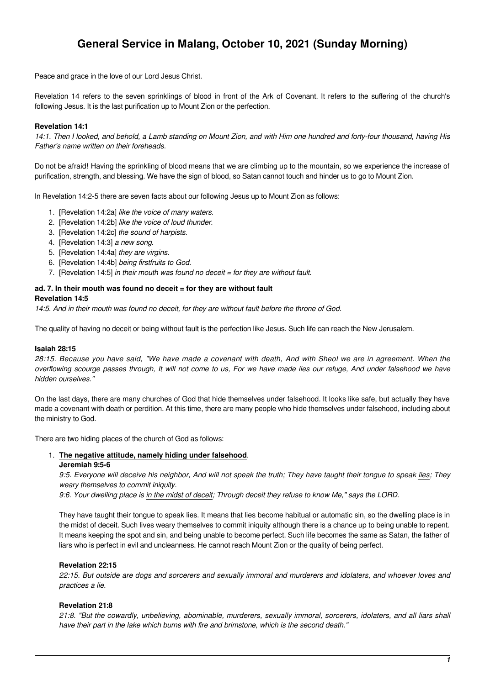# **General Service in Malang, October 10, 2021 (Sunday Morning)**

Peace and grace in the love of our Lord Jesus Christ.

Revelation 14 refers to the seven sprinklings of blood in front of the Ark of Covenant. It refers to the suffering of the church's following Jesus. It is the last purification up to Mount Zion or the perfection.

## **Revelation 14:1**

14:1. Then I looked, and behold, a Lamb standing on Mount Zion, and with Him one hundred and forty-four thousand, having His Father's name written on their foreheads.

Do not be afraid! Having the sprinkling of blood means that we are climbing up to the mountain, so we experience the increase of purification, strength, and blessing. We have the sign of blood, so Satan cannot touch and hinder us to go to Mount Zion.

In Revelation 14:2-5 there are seven facts about our following Jesus up to Mount Zion as follows:

- 1. [Revelation 14:2a] like the voice of many waters.
- 2. [Revelation 14:2b] like the voice of loud thunder.
- 3. [Revelation 14:2c] the sound of harpists.
- 4. [Revelation 14:3] a new song.
- 5. [Revelation 14:4a] they are virgins.
- 6. [Revelation 14:4b] being firstfruits to God.
- 7. [Revelation 14:5] in their mouth was found no deceit = for they are without fault.

#### **ad. 7. In their mouth was found no deceit = for they are without fault**

## **Revelation 14:5**

14:5. And in their mouth was found no deceit, for they are without fault before the throne of God.

The quality of having no deceit or being without fault is the perfection like Jesus. Such life can reach the New Jerusalem.

#### **Isaiah 28:15**

28:15. Because you have said, "We have made a covenant with death, And with Sheol we are in agreement. When the overflowing scourge passes through, It will not come to us, For we have made lies our refuge, And under falsehood we have hidden ourselves."

On the last days, there are many churches of God that hide themselves under falsehood. It looks like safe, but actually they have made a covenant with death or perdition. At this time, there are many people who hide themselves under falsehood, including about the ministry to God.

There are two hiding places of the church of God as follows:

#### 1. **The negative attitude, namely hiding under falsehood**.

#### **Jeremiah 9:5-6**

9:5. Everyone will deceive his neighbor, And will not speak the truth; They have taught their tongue to speak lies; They weary themselves to commit iniquity.

9:6. Your dwelling place is in the midst of deceit; Through deceit they refuse to know Me," says the LORD.

They have taught their tongue to speak lies. It means that lies become habitual or automatic sin, so the dwelling place is in the midst of deceit. Such lives weary themselves to commit iniquity although there is a chance up to being unable to repent. It means keeping the spot and sin, and being unable to become perfect. Such life becomes the same as Satan, the father of liars who is perfect in evil and uncleanness. He cannot reach Mount Zion or the quality of being perfect.

#### **Revelation 22:15**

22:15. But outside are dogs and sorcerers and sexually immoral and murderers and idolaters, and whoever loves and practices a lie.

# **Revelation 21:8**

21:8. "But the cowardly, unbelieving, abominable, murderers, sexually immoral, sorcerers, idolaters, and all liars shall have their part in the lake which burns with fire and brimstone, which is the second death."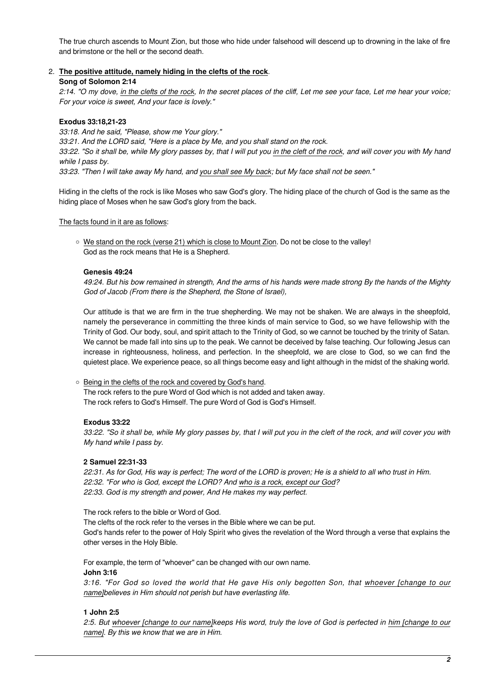The true church ascends to Mount Zion, but those who hide under falsehood will descend up to drowning in the lake of fire and brimstone or the hell or the second death.

# 2. **The positive attitude, namely hiding in the clefts of the rock**.

## **Song of Solomon 2:14**

2:14. "O my dove, in the clefts of the rock, In the secret places of the cliff, Let me see your face, Let me hear your voice; For your voice is sweet, And your face is lovely."

# **Exodus 33:18,21-23**

33:18. And he said, "Please, show me Your glory." 33:21. And the LORD said, "Here is a place by Me, and you shall stand on the rock. 33:22. "So it shall be, while My glory passes by, that I will put you in the cleft of the rock, and will cover you with My hand while I pass by. 33:23. "Then I will take away My hand, and you shall see My back; but My face shall not be seen."

Hiding in the clefts of the rock is like Moses who saw God's glory. The hiding place of the church of God is the same as the hiding place of Moses when he saw God's glory from the back.

The facts found in it are as follows:

We stand on the rock (verse 21) which is close to Mount Zion. Do not be close to the valley! God as the rock means that He is a Shepherd.

#### **Genesis 49:24**

49:24. But his bow remained in strength, And the arms of his hands were made strong By the hands of the Mighty God of Jacob (From there is the Shepherd, the Stone of Israel),

Our attitude is that we are firm in the true shepherding. We may not be shaken. We are always in the sheepfold, namely the perseverance in committing the three kinds of main service to God, so we have fellowship with the Trinity of God. Our body, soul, and spirit attach to the Trinity of God, so we cannot be touched by the trinity of Satan. We cannot be made fall into sins up to the peak. We cannot be deceived by false teaching. Our following Jesus can increase in righteousness, holiness, and perfection. In the sheepfold, we are close to God, so we can find the quietest place. We experience peace, so all things become easy and light although in the midst of the shaking world.

Being in the clefts of the rock and covered by God's hand.

The rock refers to the pure Word of God which is not added and taken away. The rock refers to God's Himself. The pure Word of God is God's Himself.

#### **Exodus 33:22**

33:22. "So it shall be, while My glory passes by, that I will put you in the cleft of the rock, and will cover you with My hand while I pass by.

## **2 Samuel 22:31-33**

22:31. As for God, His way is perfect; The word of the LORD is proven; He is a shield to all who trust in Him. 22:32. "For who is God, except the LORD? And who is a rock, except our God? 22:33. God is my strength and power, And He makes my way perfect.

The rock refers to the bible or Word of God.

The clefts of the rock refer to the verses in the Bible where we can be put. God's hands refer to the power of Holy Spirit who gives the revelation of the Word through a verse that explains the other verses in the Holy Bible.

For example, the term of "whoever" can be changed with our own name.

#### **John 3:16**

3:16. "For God so loved the world that He gave His only begotten Son, that whoever [change to our name]believes in Him should not perish but have everlasting life.

#### **1 John 2:5**

2:5. But whoever [change to our name]keeps His word, truly the love of God is perfected in him [change to our name]. By this we know that we are in Him.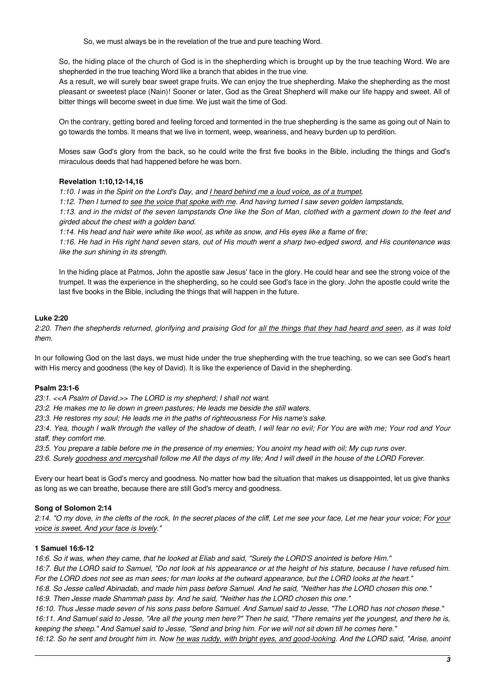So, we must always be in the revelation of the true and pure teaching Word.

So, the hiding place of the church of God is in the shepherding which is brought up by the true teaching Word. We are shepherded in the true teaching Word like a branch that abides in the true vine.

As a result, we will surely bear sweet grape fruits. We can enjoy the true shepherding. Make the shepherding as the most pleasant or sweetest place (Nain)! Sooner or later, God as the Great Shepherd will make our life happy and sweet. All of bitter things will become sweet in due time. We just wait the time of God.

On the contrary, getting bored and feeling forced and tormented in the true shepherding is the same as going out of Nain to go towards the tombs. It means that we live in torment, weep, weariness, and heavy burden up to perdition.

Moses saw God's glory from the back, so he could write the first five books in the Bible, including the things and God's miraculous deeds that had happened before he was born.

# **Revelation 1:10,12-14,16**

1:10. I was in the Spirit on the Lord's Day, and I heard behind me a loud voice, as of a trumpet,

1:12. Then I turned to see the voice that spoke with me. And having turned I saw seven golden lampstands,

1:13. and in the midst of the seven lampstands One like the Son of Man, clothed with a garment down to the feet and girded about the chest with a golden band.

1:14. His head and hair were white like wool, as white as snow, and His eyes like a flame of fire;

1:16. He had in His right hand seven stars, out of His mouth went a sharp two-edged sword, and His countenance was like the sun shining in its strength.

In the hiding place at Patmos, John the apostle saw Jesus' face in the glory. He could hear and see the strong voice of the trumpet. It was the experience in the shepherding, so he could see God's face in the glory. John the apostle could write the last five books in the Bible, including the things that will happen in the future.

#### **Luke 2:20**

2:20. Then the shepherds returned, glorifying and praising God for all the things that they had heard and seen, as it was told them.

In our following God on the last days, we must hide under the true shepherding with the true teaching, so we can see God's heart with His mercy and goodness (the key of David). It is like the experience of David in the shepherding.

#### **Psalm 23:1-6**

23:1. <<A Psalm of David.>> The LORD is my shepherd; I shall not want.

23:2. He makes me to lie down in green pastures; He leads me beside the still waters.

23:3. He restores my soul; He leads me in the paths of righteousness For His name's sake.

23:4. Yea, though I walk through the valley of the shadow of death, I will fear no evil; For You are with me; Your rod and Your staff, they comfort me.

23:5. You prepare a table before me in the presence of my enemies; You anoint my head with oil; My cup runs over.

23:6. Surely goodness and mercyshall follow me All the days of my life; And I will dwell in the house of the LORD Forever.

Every our heart beat is God's mercy and goodness. No matter how bad the situation that makes us disappointed, let us give thanks as long as we can breathe, because there are still God's mercy and goodness.

# **Song of Solomon 2:14**

2:14. "O my dove, in the clefts of the rock, In the secret places of the cliff, Let me see your face, Let me hear your voice; For your voice is sweet, And your face is lovely."

### **1 Samuel 16:6-12**

16:6. So it was, when they came, that he looked at Eliab and said, "Surely the LORD'S anointed is before Him."

16:7. But the LORD said to Samuel, "Do not look at his appearance or at the height of his stature, because I have refused him. For the LORD does not see as man sees; for man looks at the outward appearance, but the LORD looks at the heart."

16:8. So Jesse called Abinadab, and made him pass before Samuel. And he said, "Neither has the LORD chosen this one."

16:9. Then Jesse made Shammah pass by. And he said, "Neither has the LORD chosen this one."

16:10. Thus Jesse made seven of his sons pass before Samuel. And Samuel said to Jesse, "The LORD has not chosen these." 16:11. And Samuel said to Jesse, "Are all the young men here?" Then he said, "There remains yet the youngest, and there he is, keeping the sheep." And Samuel said to Jesse, "Send and bring him. For we will not sit down till he comes here."

16:12. So he sent and brought him in. Now he was ruddy, with bright eyes, and good-looking. And the LORD said, "Arise, anoint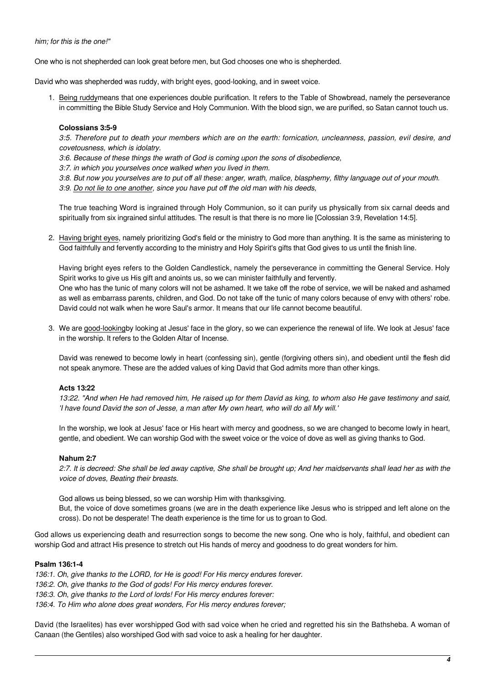#### him; for this is the one!"

One who is not shepherded can look great before men, but God chooses one who is shepherded.

David who was shepherded was ruddy, with bright eyes, good-looking, and in sweet voice.

1. Being ruddymeans that one experiences double purification. It refers to the Table of Showbread, namely the perseverance in committing the Bible Study Service and Holy Communion. With the blood sign, we are purified, so Satan cannot touch us.

#### **Colossians 3:5-9**

3:5. Therefore put to death your members which are on the earth: fornication, uncleanness, passion, evil desire, and covetousness, which is idolatry.

3:6. Because of these things the wrath of God is coming upon the sons of disobedience,

3:7. in which you yourselves once walked when you lived in them.

3:8. But now you yourselves are to put off all these: anger, wrath, malice, blasphemy, filthy language out of your mouth.

3:9. Do not lie to one another, since you have put off the old man with his deeds,

The true teaching Word is ingrained through Holy Communion, so it can purify us physically from six carnal deeds and spiritually from six ingrained sinful attitudes. The result is that there is no more lie [Colossian 3:9, Revelation 14:5].

2. Having bright eyes, namely prioritizing God's field or the ministry to God more than anything. It is the same as ministering to God faithfully and fervently according to the ministry and Holy Spirit's gifts that God gives to us until the finish line.

Having bright eyes refers to the Golden Candlestick, namely the perseverance in committing the General Service. Holy Spirit works to give us His gift and anoints us, so we can minister faithfully and fervently. One who has the tunic of many colors will not be ashamed. It we take off the robe of service, we will be naked and ashamed as well as embarrass parents, children, and God. Do not take off the tunic of many colors because of envy with others' robe. David could not walk when he wore Saul's armor. It means that our life cannot become beautiful.

3. We are good-lookingby looking at Jesus' face in the glory, so we can experience the renewal of life. We look at Jesus' face in the worship. It refers to the Golden Altar of Incense.

David was renewed to become lowly in heart (confessing sin), gentle (forgiving others sin), and obedient until the flesh did not speak anymore. These are the added values of king David that God admits more than other kings.

#### **Acts 13:22**

13:22. "And when He had removed him, He raised up for them David as king, to whom also He gave testimony and said, 'I have found David the son of Jesse, a man after My own heart, who will do all My will.'

In the worship, we look at Jesus' face or His heart with mercy and goodness, so we are changed to become lowly in heart, gentle, and obedient. We can worship God with the sweet voice or the voice of dove as well as giving thanks to God.

#### **Nahum 2:7**

2:7. It is decreed: She shall be led away captive, She shall be brought up; And her maidservants shall lead her as with the voice of doves, Beating their breasts.

God allows us being blessed, so we can worship Him with thanksgiving. But, the voice of dove sometimes groans (we are in the death experience like Jesus who is stripped and left alone on the cross). Do not be desperate! The death experience is the time for us to groan to God.

God allows us experiencing death and resurrection songs to become the new song. One who is holy, faithful, and obedient can worship God and attract His presence to stretch out His hands of mercy and goodness to do great wonders for him.

#### **Psalm 136:1-4**

136:1. Oh, give thanks to the LORD, for He is good! For His mercy endures forever. 136:2. Oh, give thanks to the God of gods! For His mercy endures forever. 136:3. Oh, give thanks to the Lord of lords! For His mercy endures forever: 136:4. To Him who alone does great wonders, For His mercy endures forever;

David (the Israelites) has ever worshipped God with sad voice when he cried and regretted his sin the Bathsheba. A woman of Canaan (the Gentiles) also worshiped God with sad voice to ask a healing for her daughter.